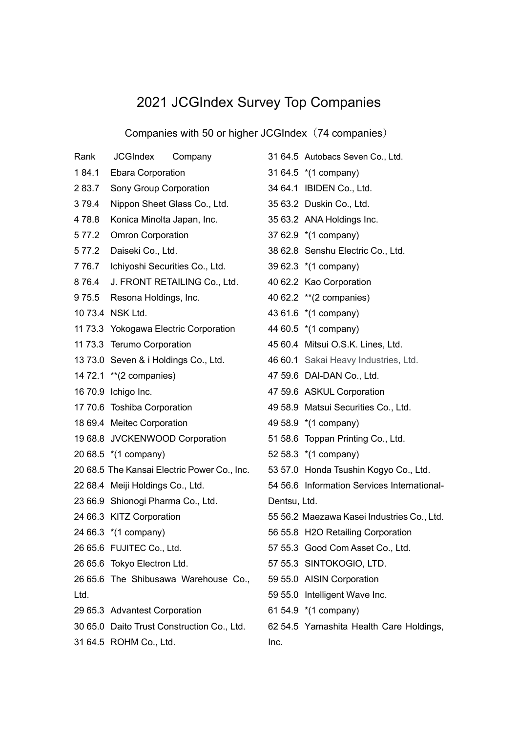## 2021 JCGIndex Survey Top Companies

Companies with 50 or higher JCGIndex(74 companies)

| Rank    | JCGIndex<br>Company                         | 3 <sup>1</sup> |
|---------|---------------------------------------------|----------------|
| 184.1   | <b>Ebara Corporation</b>                    | 3 <sup>1</sup> |
| 283.7   | Sony Group Corporation                      | 3 <sub>4</sub> |
| 379.4   | Nippon Sheet Glass Co., Ltd.                | 35             |
| 478.8   | Konica Minolta Japan, Inc.                  | 3              |
| 5 7 7.2 | <b>Omron Corporation</b>                    | 3              |
| 5 7 7.2 | Daiseki Co., Ltd.                           | 38             |
| 7 76.7  | Ichiyoshi Securities Co., Ltd.              | 3              |
| 8 76.4  | J. FRONT RETAILING Co., Ltd.                | 4              |
| 975.5   | Resona Holdings, Inc.                       | 4(             |
|         | 10 73.4 NSK Ltd.                            | 4.             |
|         | 11 73.3 Yokogawa Electric Corporation       | 44             |
|         | 11 73.3 Terumo Corporation                  | 45             |
|         | 13 73.0 Seven & i Holdings Co., Ltd.        | 4              |
|         | 14 72.1 ** (2 companies)                    | $\overline{4}$ |
|         | 16 70.9 Ichigo Inc.                         | $\overline{4}$ |
|         | 17 70.6 Toshiba Corporation                 | 4              |
|         | 18 69.4 Meitec Corporation                  | 4              |
|         | 19 68.8 JVCKENWOOD Corporation              | 5 <sup>1</sup> |
|         | 20 68.5 *(1 company)                        | 52             |
|         | 20 68.5 The Kansai Electric Power Co., Inc. | 5.             |
|         | 22 68.4 Meiji Holdings Co., Ltd.            | 5 <sub>4</sub> |
|         | 23 66.9 Shionogi Pharma Co., Ltd.           | D              |
|         | 24 66.3 KITZ Corporation                    | 5              |
|         | 24 66.3 *(1 company)                        | 56             |
|         | 26 65.6 FUJITEC Co., Ltd.                   | 5              |
|         | 26 65.6 Tokyo Electron Ltd.                 | $5^{\circ}$    |
|         | 26 65.6 The Shibusawa Warehouse Co.,        | 5              |
| Ltd.    |                                             | 5              |
|         | 29 65.3 Advantest Corporation               | 6 <sup>1</sup> |
|         | 30 65.0 Daito Trust Construction Co., Ltd.  | 62             |
|         | 31 64.5 ROHM Co., Ltd.                      | In             |

|              | 31 64.5 Autobacs Seven Co., Ltd.            |  |  |
|--------------|---------------------------------------------|--|--|
|              | 31 64.5 *(1 company)                        |  |  |
|              | 34 64.1 IBIDEN Co., Ltd.                    |  |  |
|              | 35 63.2 Duskin Co., Ltd.                    |  |  |
|              | 35 63.2 ANA Holdings Inc.                   |  |  |
|              | 37 62.9 *(1 company)                        |  |  |
|              | 38 62.8 Senshu Electric Co., Ltd.           |  |  |
|              | 39 62.3 *(1 company)                        |  |  |
|              | 40 62.2 Kao Corporation                     |  |  |
|              | 40 62.2 ** (2 companies)                    |  |  |
|              | 43 61.6 *(1 company)                        |  |  |
|              | 44 60.5 *(1 company)                        |  |  |
|              | 45 60.4 Mitsui O.S.K. Lines, Ltd.           |  |  |
|              | 46 60.1 Sakai Heavy Industries, Ltd.        |  |  |
|              | 47 59.6 DAI-DAN Co., Ltd.                   |  |  |
|              | 47 59.6 ASKUL Corporation                   |  |  |
|              | 49 58.9 Matsui Securities Co., Ltd.         |  |  |
|              | 49 58.9 *(1 company)                        |  |  |
|              | 51 58.6 Toppan Printing Co., Ltd.           |  |  |
|              | 52 58.3 *(1 company)                        |  |  |
|              | 53 57.0 Honda Tsushin Kogyo Co., Ltd.       |  |  |
|              | 54 56.6 Information Services International- |  |  |
| Dentsu, Ltd. |                                             |  |  |
|              | 55 56.2 Maezawa Kasei Industries Co., Ltd.  |  |  |
|              | 56 55.8 H2O Retailing Corporation           |  |  |
|              | 57 55.3 Good Com Asset Co., Ltd.            |  |  |
|              | 57 55.3 SINTOKOGIO, LTD.                    |  |  |
|              | 59 55.0 AISIN Corporation                   |  |  |
|              | 59 55.0 Intelligent Wave Inc.               |  |  |
|              | 61 54.9 *(1 company)                        |  |  |
|              | 62 54.5 Yamashita Health Care Holdings,     |  |  |
| Inc.         |                                             |  |  |